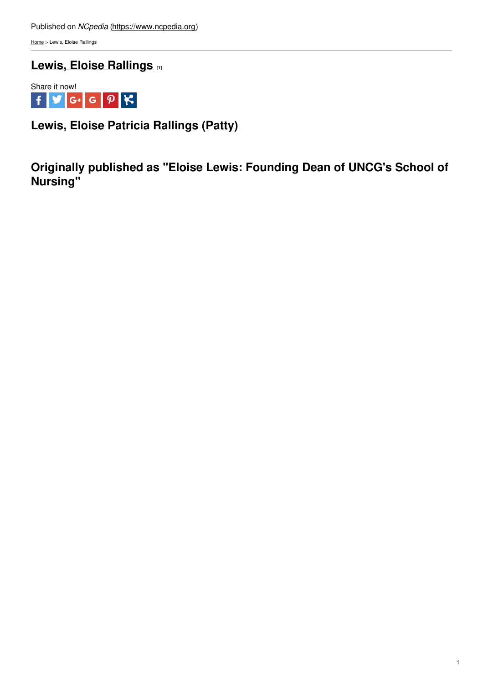[Home](https://www.ncpedia.org/) > Lewis, Eloise Rallings

**Lewis, Eloise [Rallings](https://www.ncpedia.org/biography/lewis-eloise-rallings) [1]**



**Lewis, Eloise Patricia Rallings (Patty)**

**Originally published as "Eloise Lewis: Founding Dean of UNCG's School of Nursing"**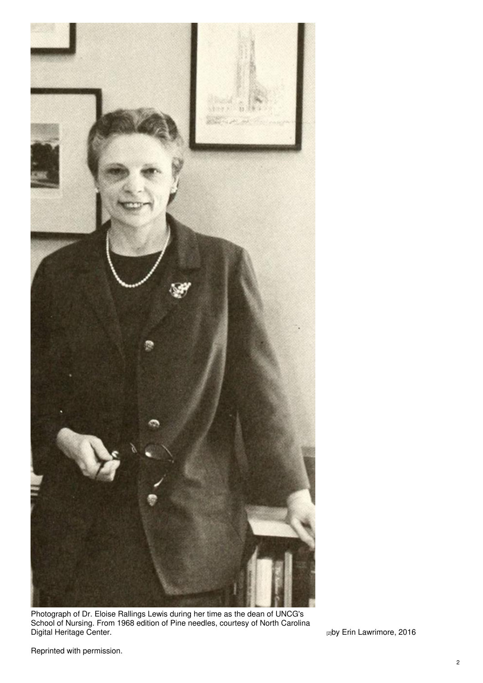

Photograph of Dr. Eloise Rallings Lewis during her time as the dean of UNCG's School of Nursing. From 1968 edition of Pine needles, courtesy of North Carolina Digital [Heritage](https://lib.digitalnc.org/record/28157?ln=en#?c=0&m=0&s=0&cv=96&r=0&xywh=-197%2C0%2C4910%2C2983) Center. [2]by Erin Lawrimore, 2016

Reprinted with permission.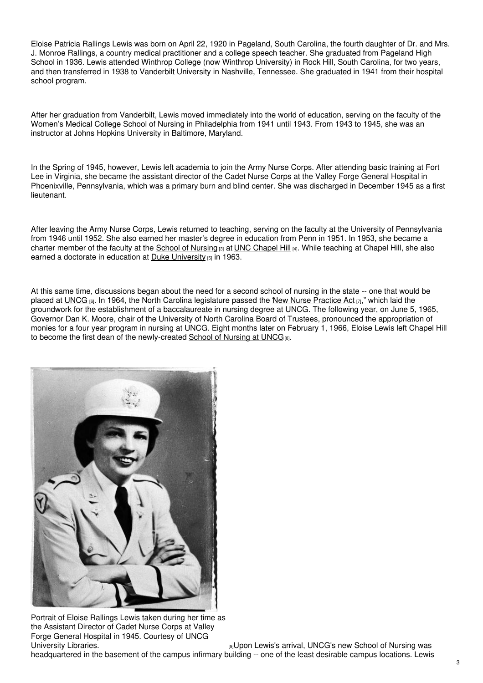Eloise Patricia Rallings Lewis was born on April 22, 1920 in Pageland, South Carolina, the fourth daughter of Dr. and Mrs. J. Monroe Rallings, a country medical practitioner and a college speech teacher. She graduated from Pageland High School in 1936. Lewis attended Winthrop College (now Winthrop University) in Rock Hill, South Carolina, for two years, and then transferred in 1938 to Vanderbilt University in Nashville, Tennessee. She graduated in 1941 from their hospital school program.

After her graduation from Vanderbilt, Lewis moved immediately into the world of education, serving on the faculty of the Women's Medical College School of Nursing in Philadelphia from 1941 until 1943. From 1943 to 1945, she was an instructor at Johns Hopkins University in Baltimore, Maryland.

In the Spring of 1945, however, Lewis left academia to join the Army Nurse Corps. After attending basic training at Fort Lee in Virginia, she became the assistant director of the Cadet Nurse Corps at the Valley Forge General Hospital in Phoenixville, Pennsylvania, which was a primary burn and blind center. She was discharged in December 1945 as a first lieutenant.

After leaving the Army Nurse Corps, Lewis returned to teaching, serving on the faculty at the University of Pennsylvania from 1946 until 1952. She also earned her master's degree in education from Penn in 1951. In 1953, she became a charter member of the faculty at the School of [Nursing](https://nursing.unc.edu/) [3] at UNC [Chapel](https://www.ncpedia.org/university-north-carolina-chapel-hi) Hill [4]. While teaching at Chapel Hill, she also earned a doctorate in education at Duke [University](https://www.ncpedia.org/duke-university)  $[5]$  in 1963.

At this same time, discussions began about the need for a second school of nursing in the state -- one that would be placed at [UNCG](https://www.ncpedia.org/university-north-carolina-greensbor) [6]. In 1964, the North Carolina legislature passed the "New Nurse [Practice](https://digital.ncdcr.gov/digital/collection/p249901coll22/id/322080) Act [7]," which laid the groundwork for the establishment of a baccalaureate in nursing degree at UNCG. The following year, on June 5, 1965, Governor Dan K. Moore, chair of the University of North Carolina Board of Trustees, pronounced the appropriation of monies for a four year program in nursing at UNCG. Eight months later on February 1, 1966, Eloise Lewis left Chapel Hill to become the first dean of the newly-created  $School$  of [Nursing](https://nursing.uncg.edu/) at UNC $G_{[8]}$ .



Portrait of Eloise Rallings Lewis taken during her time as the Assistant Director of Cadet Nurse Corps at Valley Forge General Hospital in 1945. Courtesy of UNCG

[University](http://libcdm1.uncg.edu/cdm/ref/collection/WVHP/id/876) Libraries. The Control of Nursing was served by Den Lewis's arrival, UNCG's new School of Nursing was headquartered in the basement of the campus infirmary building -- one of the least desirable campus locations. Lewis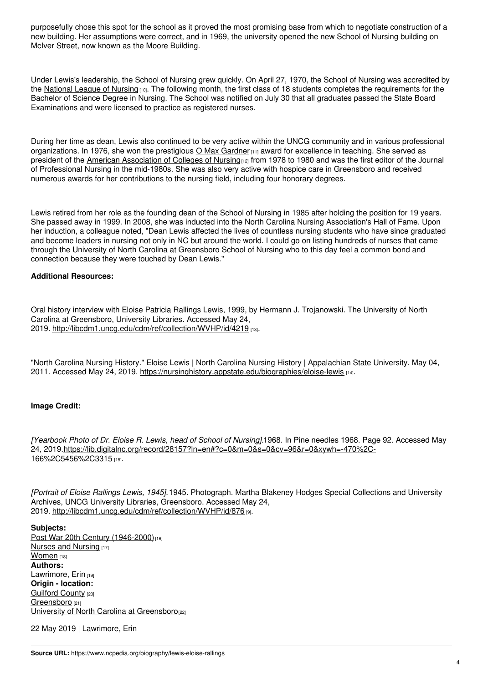purposefully chose this spot for the school as it proved the most promising base from which to negotiate construction of a new building. Her assumptions were correct, and in 1969, the university opened the new School of Nursing building on McIver Street, now known as the Moore Building.

Under Lewis's leadership, the School of Nursing grew quickly. On April 27, 1970, the School of Nursing was accredited by the [National](https://www.nln.org:443/) League of Nursing [10]. The following month, the first class of 18 students completes the requirements for the Bachelor of Science Degree in Nursing. The School was notified on July 30 that all graduates passed the State Board Examinations and were licensed to practice as registered nurses.

During her time as dean, Lewis also continued to be very active within the UNCG community and in various professional organizations. In 1976, she won the prestigious O Max [Gardner](https://provost.uncg.edu/gardner-award/) [11] award for excellence in teaching. She served as president of the American [Association](https://www.aacnnursing.org/) of Colleges of Nursing [12] from 1978 to 1980 and was the first editor of the Journal of Professional Nursing in the mid-1980s. She was also very active with hospice care in Greensboro and received numerous awards for her contributions to the nursing field, including four honorary degrees.

Lewis retired from her role as the founding dean of the School of Nursing in 1985 after holding the position for 19 years. She passed away in 1999. In 2008, she was inducted into the North Carolina Nursing Association's Hall of Fame. Upon her induction, a colleague noted, "Dean Lewis affected the lives of countless nursing students who have since graduated and become leaders in nursing not only in NC but around the world. I could go on listing hundreds of nurses that came through the University of North Carolina at Greensboro School of Nursing who to this day feel a common bond and connection because they were touched by Dean Lewis."

## **Additional Resources:**

Oral history interview with Eloise Patricia Rallings Lewis, 1999, by Hermann J. Trojanowski. The University of North Carolina at Greensboro, University Libraries. Accessed May 24, 2019. <http://libcdm1.uncg.edu/cdm/ref/collection/WVHP/id/4219> [13].

"North Carolina Nursing History." Eloise Lewis | North Carolina Nursing History | Appalachian State University. May 04, 2011. Accessed May 24, 2019. <https://nursinghistory.appstate.edu/biographies/eloise-lewis> [14].

## **Image Credit:**

*[Yearbook Photo of Dr. Eloise R. Lewis, head of School of Nursing].*1968. In Pine needles 1968. Page 92. Accessed May 24, [2019.https://lib.digitalnc.org/record/28157?ln=en#?c=0&m=0&s=0&cv=96&r=0&xywh=-470%2C-](https://lib.digitalnc.org/record/28157?ln=en#?c=0&m=0&s=0&cv=96&r=0&xywh=-470%2C-166%2C5456%2C3315)166%2C5456%2C3315 [15].

*[Portrait of Eloise Rallings Lewis, 1945].*1945. Photograph. Martha Blakeney Hodges Special Collections and University Archives, UNCG University Libraries, Greensboro. Accessed May 24, 2019. <http://libcdm1.uncg.edu/cdm/ref/collection/WVHP/id/876> [9].

**Subjects:** Post War 20th Century [\(1946-2000\)](https://www.ncpedia.org/category/subjects/post-war-20th-cen)<sup>[16]</sup> Nurses and [Nursing](https://www.ncpedia.org/category/subjects/nurses) [17] [Women](https://www.ncpedia.org/category/subjects/women) [18] **Authors:** [Lawrimore,](https://www.ncpedia.org/category/authors/lawrimore-erin) Erin [19] **Origin - location:** [Guilford](https://www.ncpedia.org/category/origin-location/piedmont-4) County [20] [Greensboro](https://www.ncpedia.org/category/origin-location/piedmon-21) [21] University of North Carolina at [Greensboro](https://www.ncpedia.org/category/origin-location/piedmon-37)<sup>[22]</sup>

22 May 2019 | Lawrimore, Erin